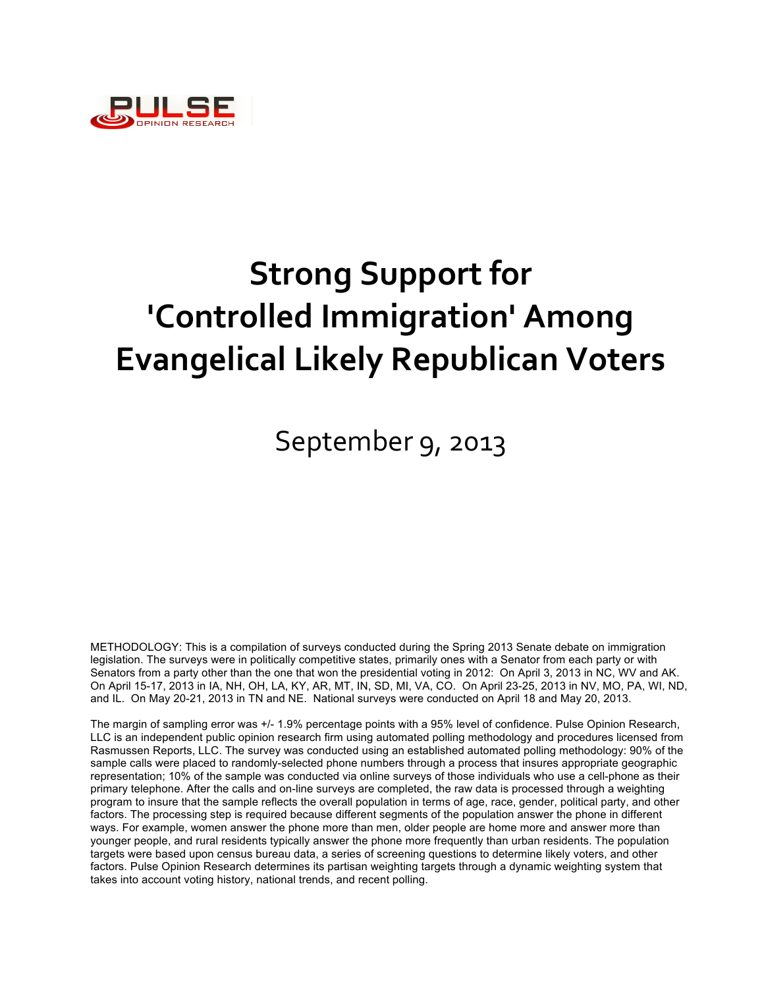

## September 9, 2013

METHODOLOGY: This is a compilation of surveys conducted during the Spring 2013 Senate debate on immigration legislation. The surveys were in politically competitive states, primarily ones with a Senator from each party or with Senators from a party other than the one that won the presidential voting in 2012: On April 3, 2013 in NC, WV and AK. On April 15-17, 2013 in IA, NH, OH, LA, KY, AR, MT, IN, SD, MI, VA, CO. On April 23-25, 2013 in NV, MO, PA, WI, ND, and IL. On May 20-21, 2013 in TN and NE. National surveys were conducted on April 18 and May 20, 2013.

The margin of sampling error was +/- 1.9% percentage points with a 95% level of confidence. Pulse Opinion Research, LLC is an independent public opinion research firm using automated polling methodology and procedures licensed from Rasmussen Reports, LLC. The survey was conducted using an established automated polling methodology: 90% of the sample calls were placed to randomly-selected phone numbers through a process that insures appropriate geographic representation; 10% of the sample was conducted via online surveys of those individuals who use a cell-phone as their primary telephone. After the calls and on-line surveys are completed, the raw data is processed through a weighting program to insure that the sample reflects the overall population in terms of age, race, gender, political party, and other factors. The processing step is required because different segments of the population answer the phone in different ways. For example, women answer the phone more than men, older people are home more and answer more than younger people, and rural residents typically answer the phone more frequently than urban residents. The population targets were based upon census bureau data, a series of screening questions to determine likely voters, and other factors. Pulse Opinion Research determines its partisan weighting targets through a dynamic weighting system that takes into account voting history, national trends, and recent polling.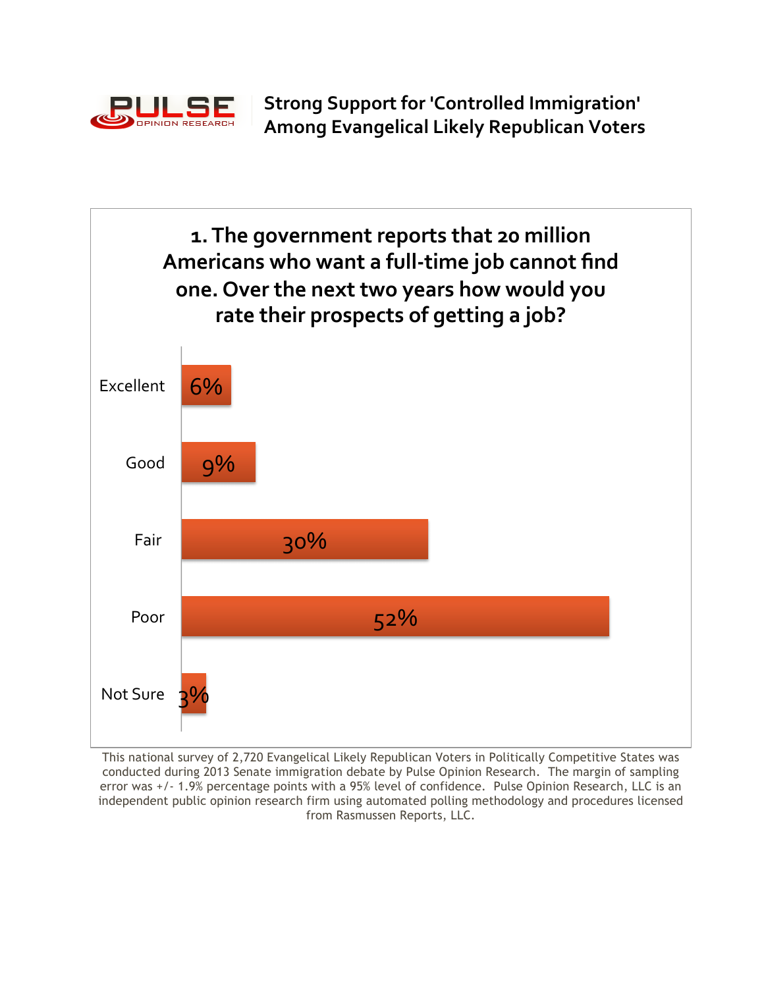

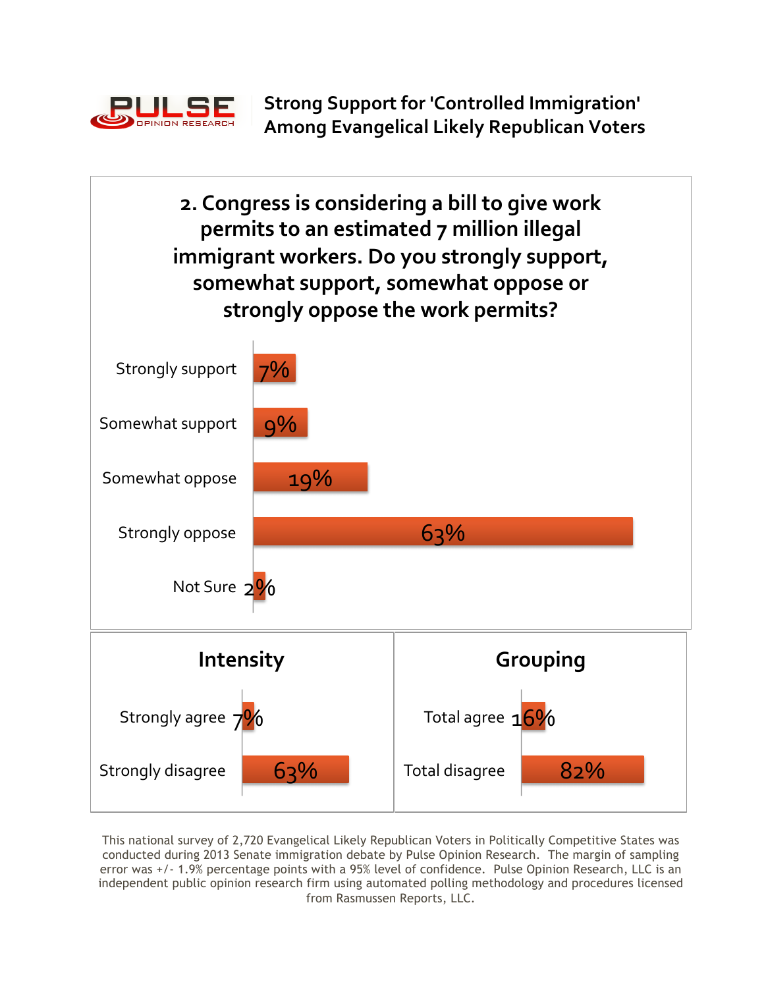

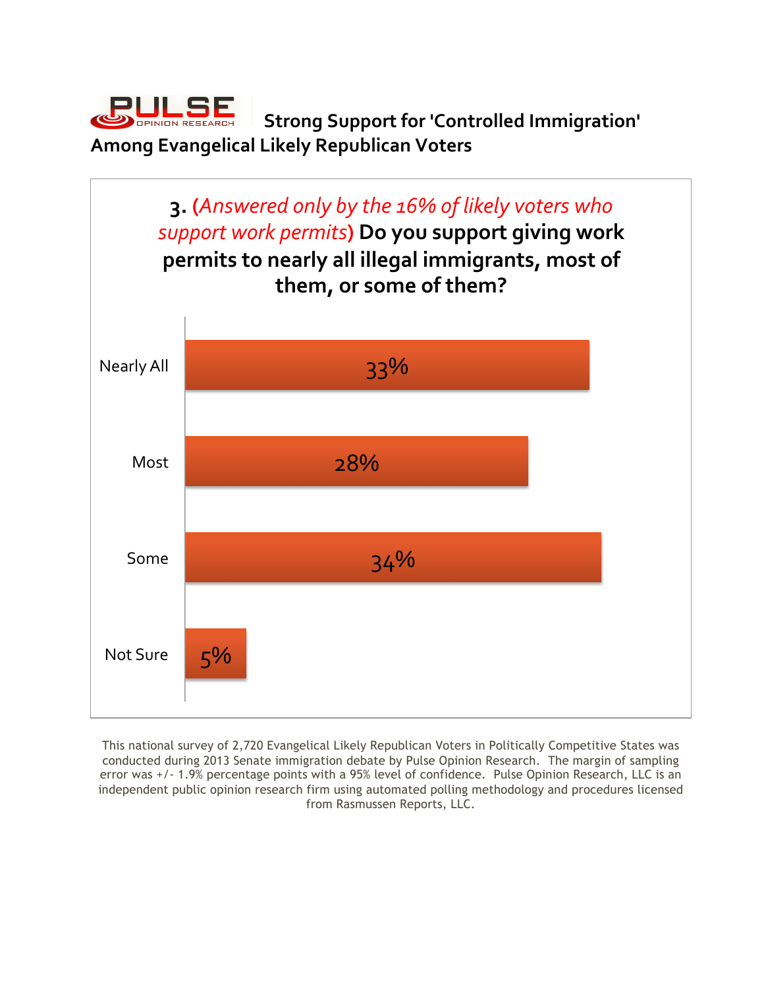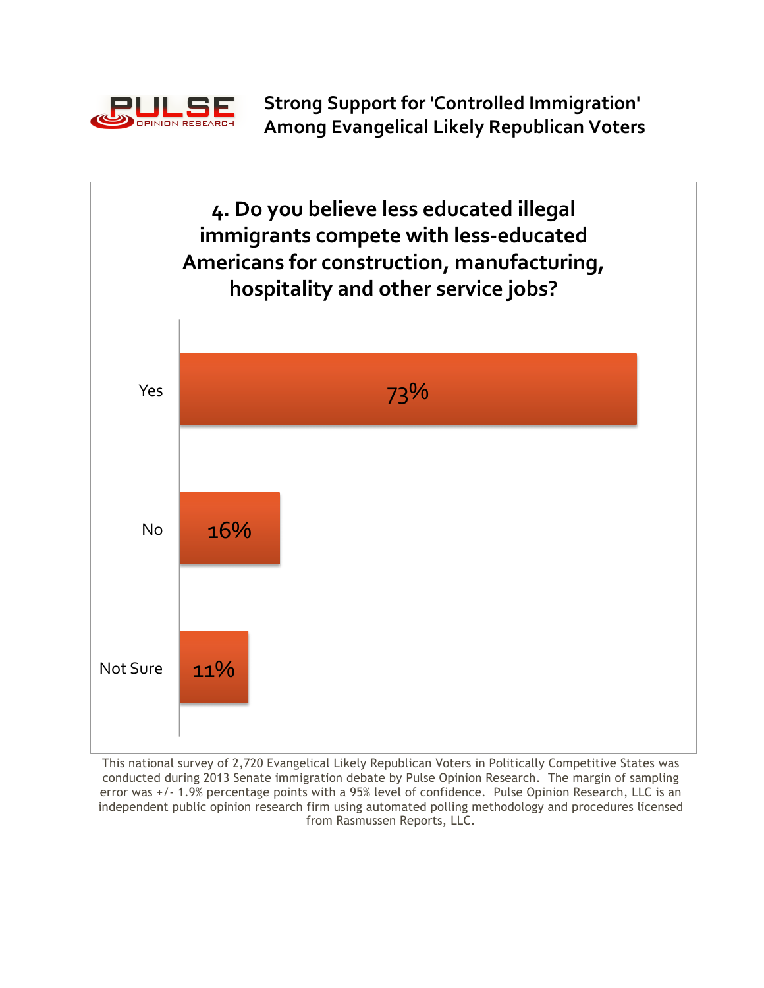

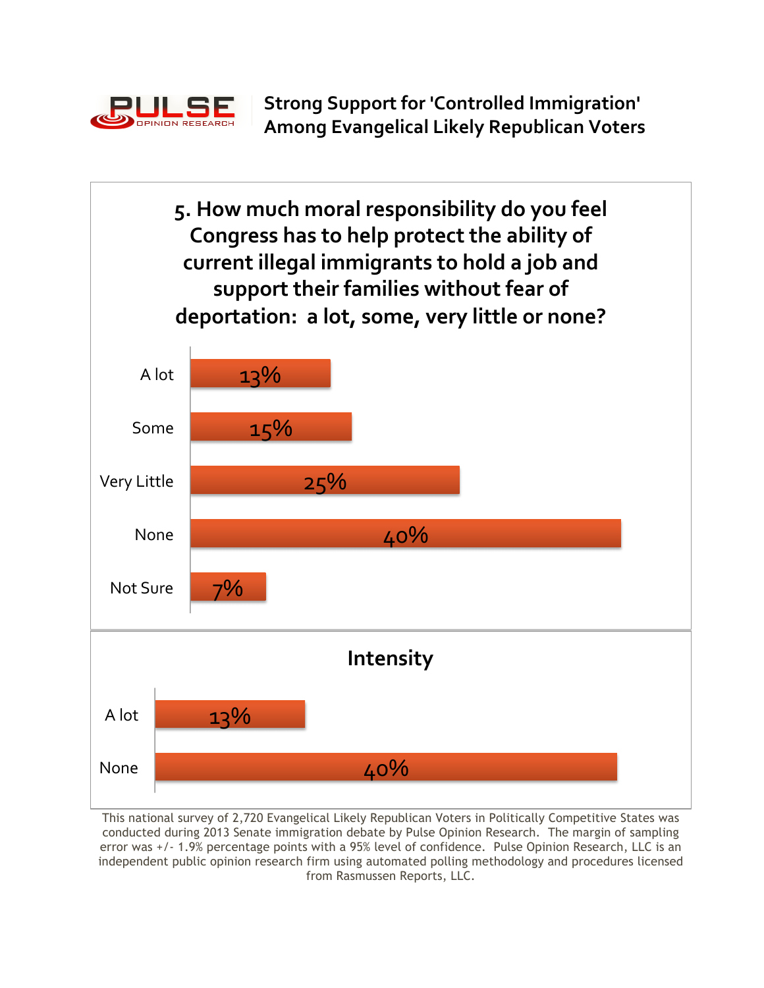

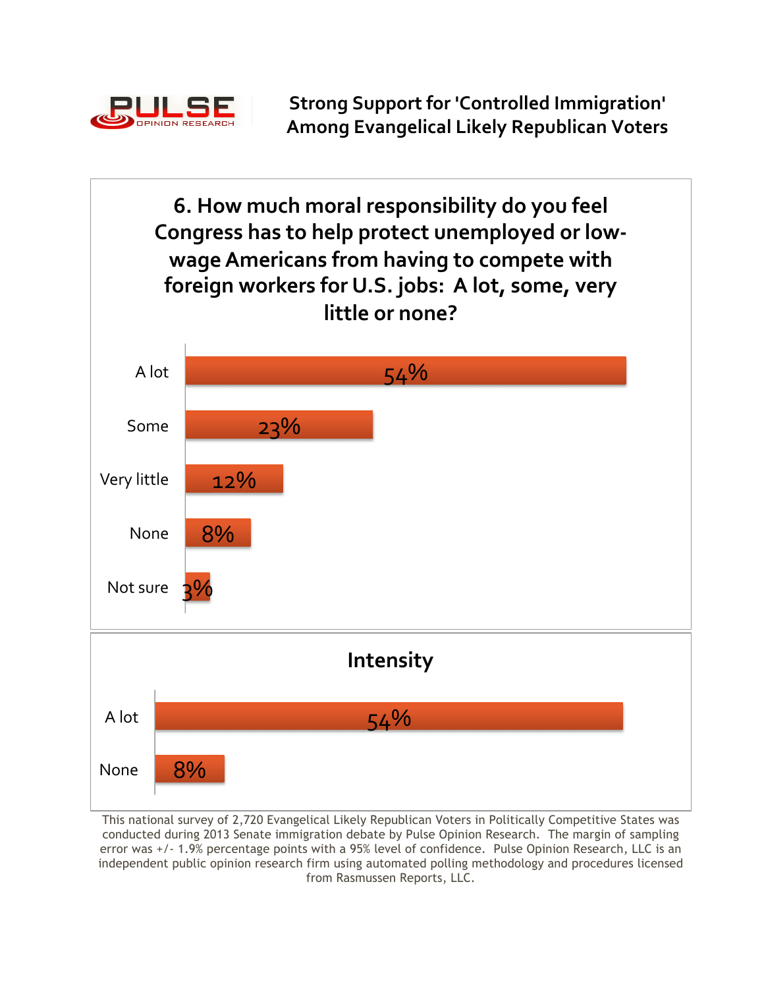

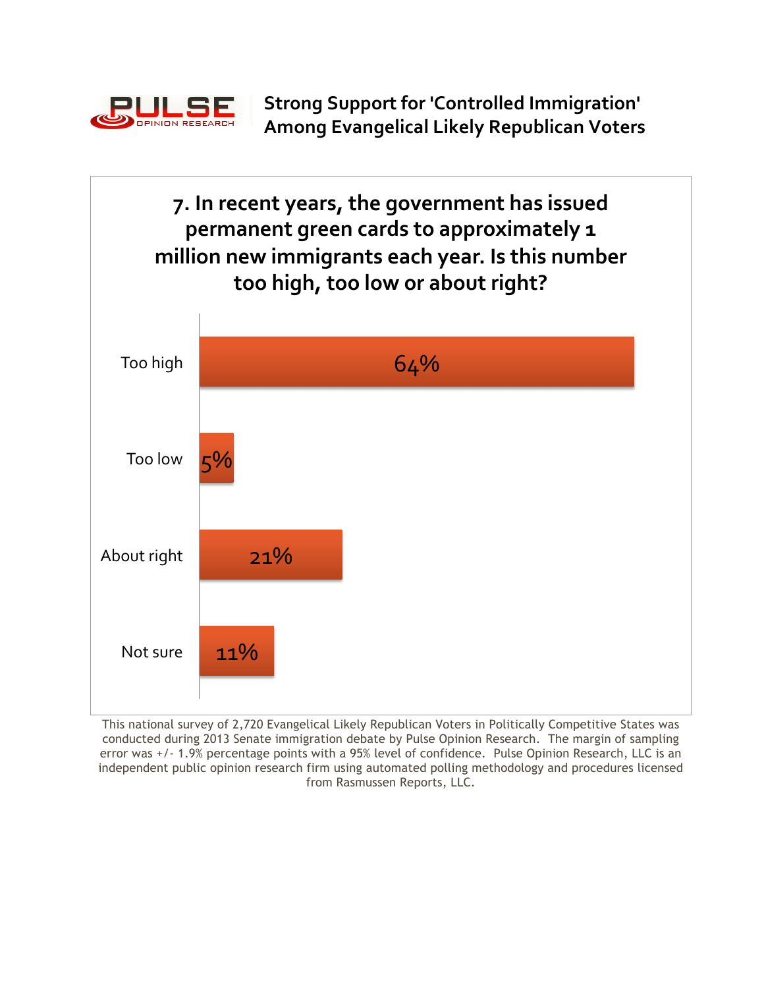

**7.** In recent years, the government has issued permanent green cards to approximately 1 million new immigrants each year. Is this number too high, too low or about right?

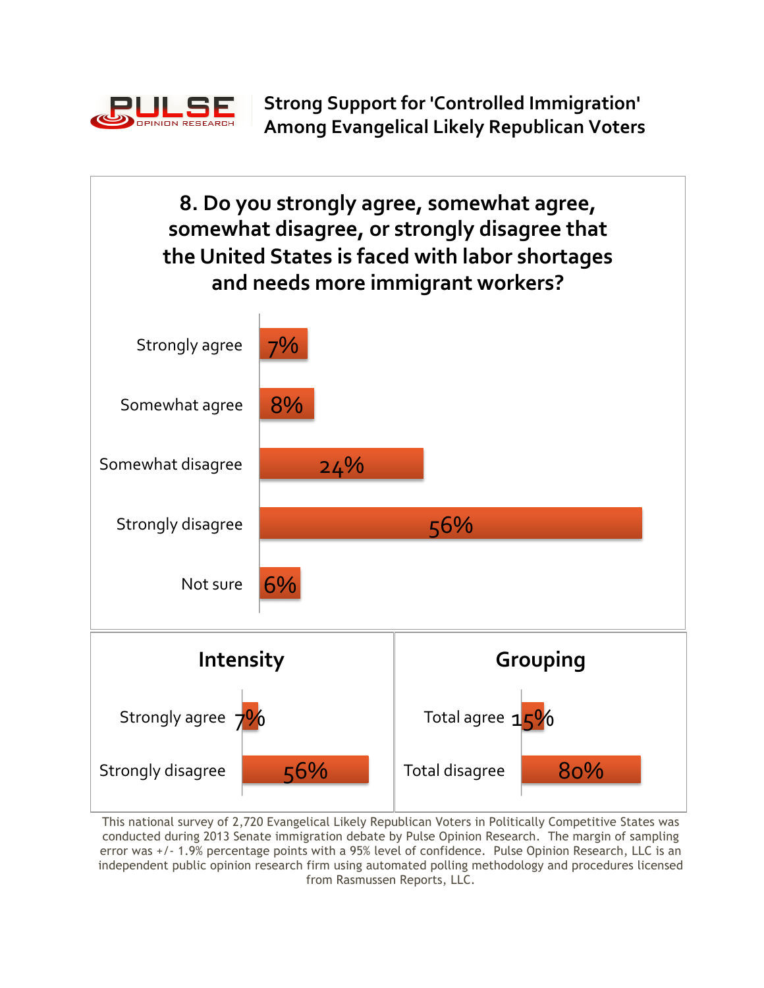

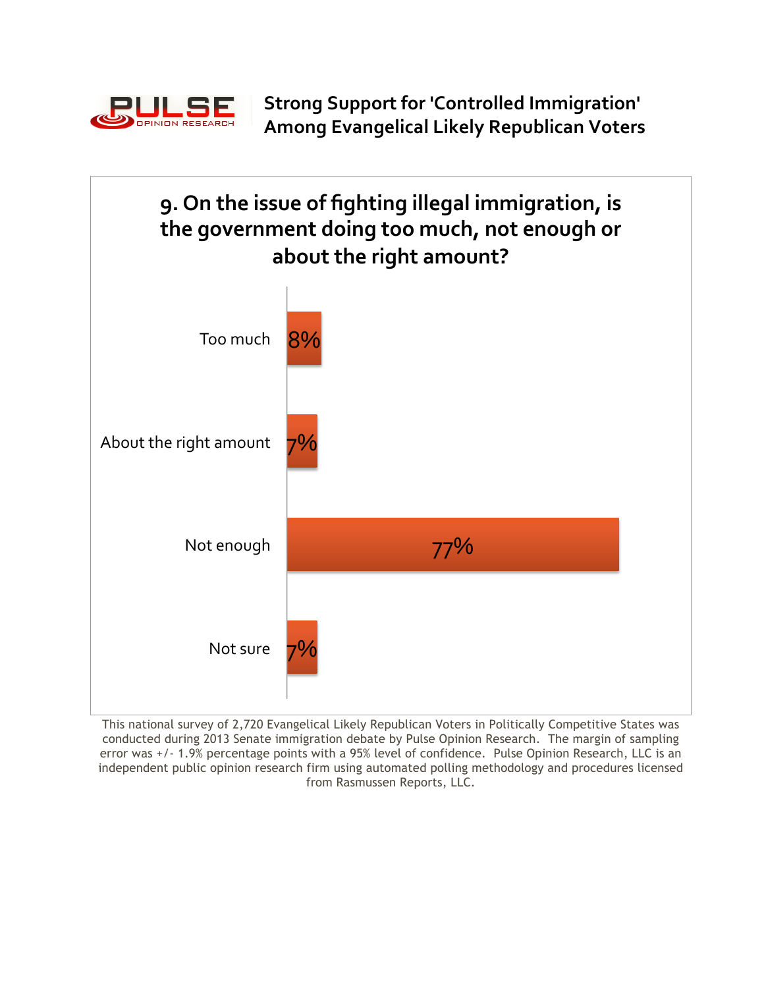

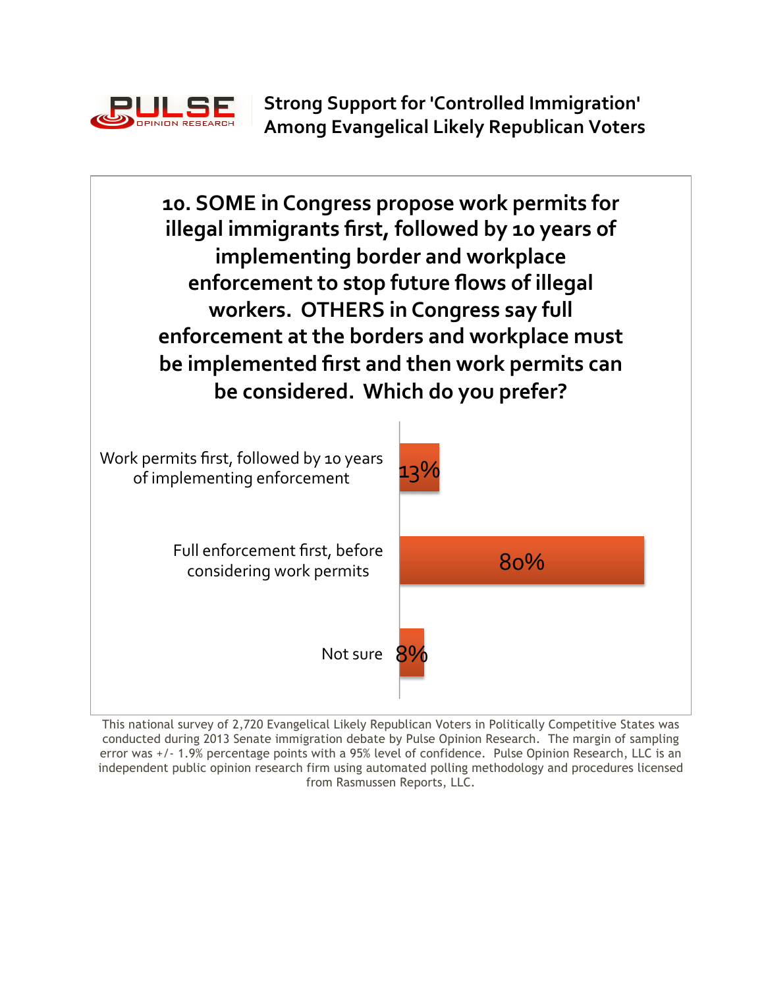

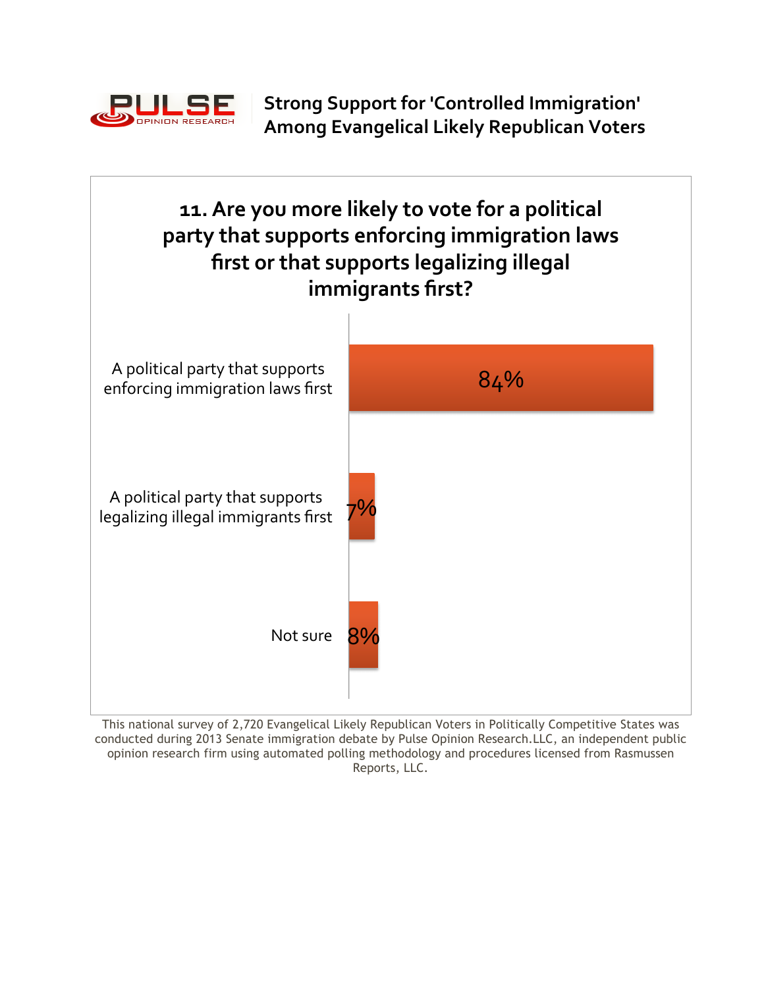



This national survey of 2,720 Evangelical Likely Republican Voters in Politically Competitive States was conducted during 2013 Senate immigration debate by Pulse Opinion Research.LLC, an independent public opinion research firm using automated polling methodology and procedures licensed from Rasmussen Reports, LLC.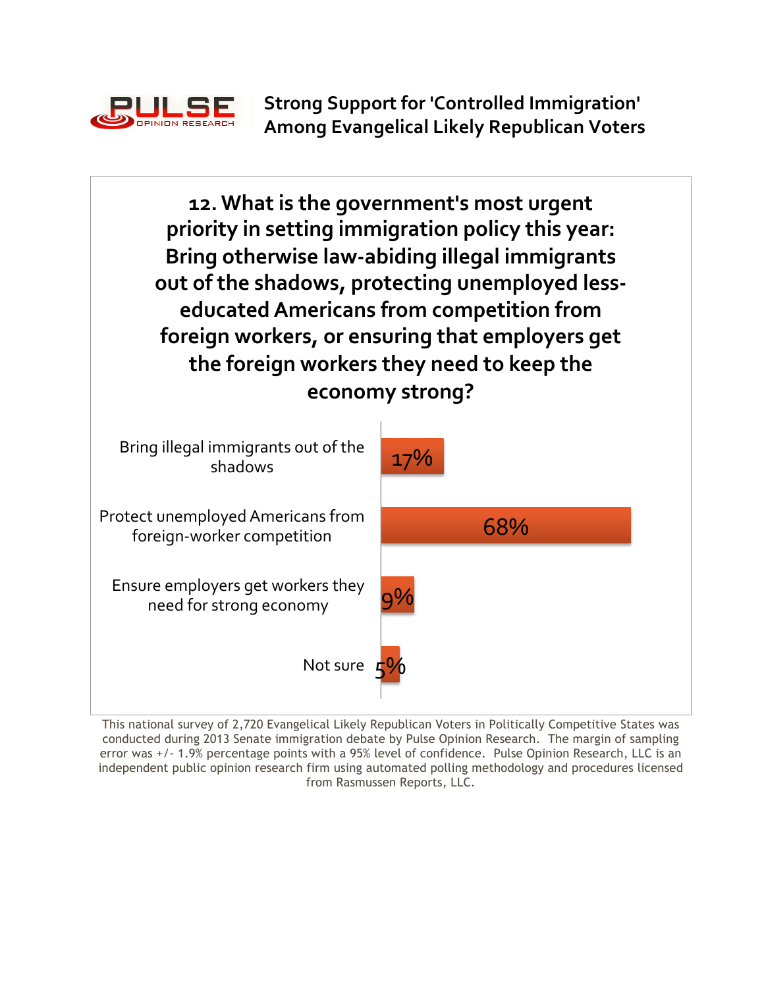

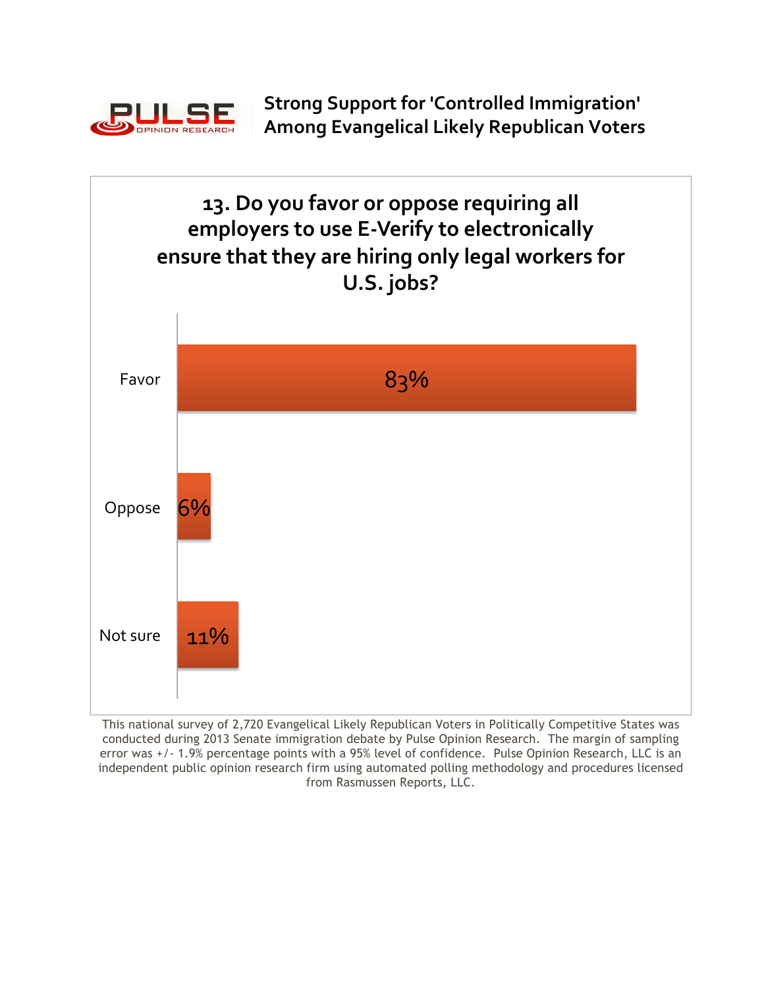